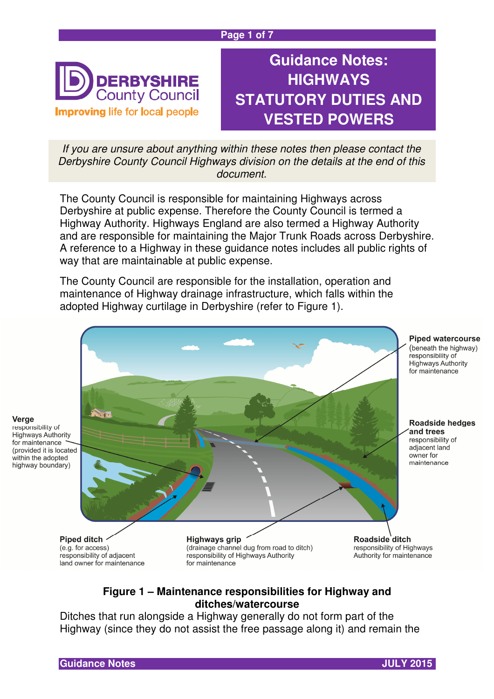#### **Page 1 of 7**



**Guidance Notes: HIGHWAYS STATUTORY DUTIES AND VESTED POWERS**

If you are unsure about anything within these notes then please contact the Derbyshire County Council Highways division on the details at the end of this document.

The County Council is responsible for maintaining Highways across Derbyshire at public expense. Therefore the County Council is termed a Highway Authority. Highways England are also termed a Highway Authority and are responsible for maintaining the Major Trunk Roads across Derbyshire. A reference to a Highway in these guidance notes includes all public rights of way that are maintainable at public expense.

The County Council are responsible for the installation, operation and maintenance of Highway drainage infrastructure, which falls within the adopted Highway curtilage in Derbyshire (refer to Figure 1).



#### **Figure 1 – Maintenance responsibilities for Highway and ditches/watercourse**

Ditches that run alongside a Highway generally do not form part of the Highway (since they do not assist the free passage along it) and remain the

Verge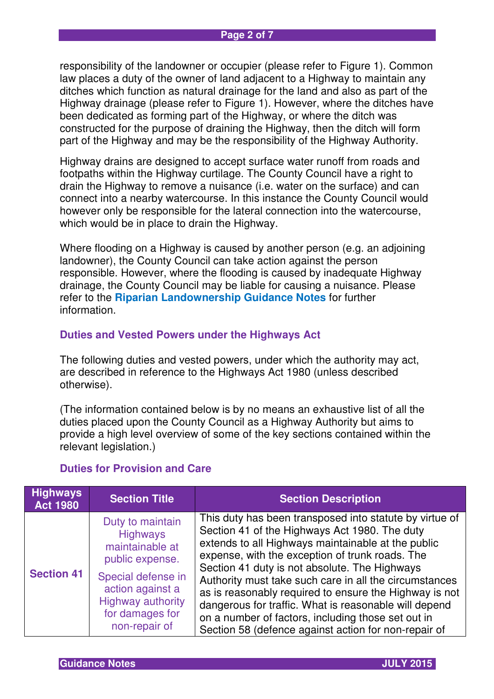responsibility of the landowner or occupier (please refer to Figure 1). Common law places a duty of the owner of land adjacent to a Highway to maintain any ditches which function as natural drainage for the land and also as part of the Highway drainage (please refer to Figure 1). However, where the ditches have been dedicated as forming part of the Highway, or where the ditch was constructed for the purpose of draining the Highway, then the ditch will form part of the Highway and may be the responsibility of the Highway Authority.

Highway drains are designed to accept surface water runoff from roads and footpaths within the Highway curtilage. The County Council have a right to drain the Highway to remove a nuisance (i.e. water on the surface) and can connect into a nearby watercourse. In this instance the County Council would however only be responsible for the lateral connection into the watercourse, which would be in place to drain the Highway.

Where flooding on a Highway is caused by another person (e.g. an adjoining landowner), the County Council can take action against the person responsible. However, where the flooding is caused by inadequate Highway drainage, the County Council may be liable for causing a nuisance. Please refer to the **Riparian Landownership Guidance Notes** for further information.

#### **Duties and Vested Powers under the Highways Act**

The following duties and vested powers, under which the authority may act, are described in reference to the Highways Act 1980 (unless described otherwise).

(The information contained below is by no means an exhaustive list of all the duties placed upon the County Council as a Highway Authority but aims to provide a high level overview of some of the key sections contained within the relevant legislation.)

| <b>Highways</b><br><b>Act 1980</b> | <b>Section Title</b>                                                                                                                                                                | <b>Section Description</b>                                                                                                                                                                                                                                                                                                                                                                                                                                                                                                                                    |
|------------------------------------|-------------------------------------------------------------------------------------------------------------------------------------------------------------------------------------|---------------------------------------------------------------------------------------------------------------------------------------------------------------------------------------------------------------------------------------------------------------------------------------------------------------------------------------------------------------------------------------------------------------------------------------------------------------------------------------------------------------------------------------------------------------|
| <b>Section 41</b>                  | Duty to maintain<br><b>Highways</b><br>maintainable at<br>public expense.<br>Special defense in<br>action against a<br><b>Highway authority</b><br>for damages for<br>non-repair of | This duty has been transposed into statute by virtue of<br>Section 41 of the Highways Act 1980. The duty<br>extends to all Highways maintainable at the public<br>expense, with the exception of trunk roads. The<br>Section 41 duty is not absolute. The Highways<br>Authority must take such care in all the circumstances<br>as is reasonably required to ensure the Highway is not<br>dangerous for traffic. What is reasonable will depend<br>on a number of factors, including those set out in<br>Section 58 (defence against action for non-repair of |

## **Duties for Provision and Care**

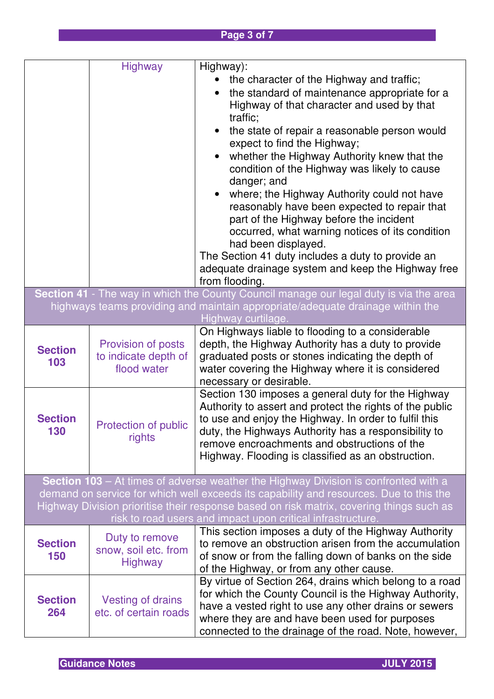# **Page 3 of 7**

|                                                                                                                                                                                                                                                                                                                                                 | <b>Highway</b>                                            | Highway):<br>the character of the Highway and traffic;<br>the standard of maintenance appropriate for a<br>Highway of that character and used by that<br>traffic;<br>the state of repair a reasonable person would<br>expect to find the Highway;<br>whether the Highway Authority knew that the<br>condition of the Highway was likely to cause<br>danger; and<br>where; the Highway Authority could not have<br>$\bullet$<br>reasonably have been expected to repair that<br>part of the Highway before the incident<br>occurred, what warning notices of its condition<br>had been displayed.<br>The Section 41 duty includes a duty to provide an<br>adequate drainage system and keep the Highway free<br>from flooding.<br>Section 41 - The way in which the County Council manage our legal duty is via the area |
|-------------------------------------------------------------------------------------------------------------------------------------------------------------------------------------------------------------------------------------------------------------------------------------------------------------------------------------------------|-----------------------------------------------------------|-------------------------------------------------------------------------------------------------------------------------------------------------------------------------------------------------------------------------------------------------------------------------------------------------------------------------------------------------------------------------------------------------------------------------------------------------------------------------------------------------------------------------------------------------------------------------------------------------------------------------------------------------------------------------------------------------------------------------------------------------------------------------------------------------------------------------|
|                                                                                                                                                                                                                                                                                                                                                 |                                                           | highways teams providing and maintain appropriate/adequate drainage within the<br>Highway curtilage.                                                                                                                                                                                                                                                                                                                                                                                                                                                                                                                                                                                                                                                                                                                    |
| <b>Section</b><br>103                                                                                                                                                                                                                                                                                                                           | Provision of posts<br>to indicate depth of<br>flood water | On Highways liable to flooding to a considerable<br>depth, the Highway Authority has a duty to provide<br>graduated posts or stones indicating the depth of<br>water covering the Highway where it is considered<br>necessary or desirable.                                                                                                                                                                                                                                                                                                                                                                                                                                                                                                                                                                             |
| <b>Section</b><br>130                                                                                                                                                                                                                                                                                                                           | Protection of public<br>rights                            | Section 130 imposes a general duty for the Highway<br>Authority to assert and protect the rights of the public<br>to use and enjoy the Highway. In order to fulfil this<br>duty, the Highways Authority has a responsibility to<br>remove encroachments and obstructions of the<br>Highway. Flooding is classified as an obstruction.                                                                                                                                                                                                                                                                                                                                                                                                                                                                                   |
| <b>Section 103</b> – At times of adverse weather the Highway Division is confronted with a<br>demand on service for which well exceeds its capability and resources. Due to this the<br>Highway Division prioritise their response based on risk matrix, covering things such as<br>risk to road users and impact upon critical infrastructure. |                                                           |                                                                                                                                                                                                                                                                                                                                                                                                                                                                                                                                                                                                                                                                                                                                                                                                                         |
| <b>Section</b><br>150                                                                                                                                                                                                                                                                                                                           | Duty to remove<br>snow, soil etc. from<br><b>Highway</b>  | This section imposes a duty of the Highway Authority<br>to remove an obstruction arisen from the accumulation<br>of snow or from the falling down of banks on the side<br>of the Highway, or from any other cause.                                                                                                                                                                                                                                                                                                                                                                                                                                                                                                                                                                                                      |
| <b>Section</b><br>264                                                                                                                                                                                                                                                                                                                           | <b>Vesting of drains</b><br>etc. of certain roads         | By virtue of Section 264, drains which belong to a road<br>for which the County Council is the Highway Authority,<br>have a vested right to use any other drains or sewers<br>where they are and have been used for purposes<br>connected to the drainage of the road. Note, however,                                                                                                                                                                                                                                                                                                                                                                                                                                                                                                                                   |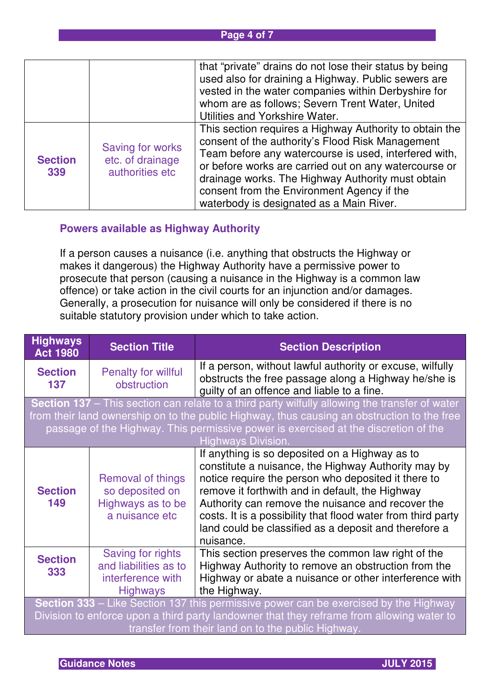#### **Page 4 of 7**

|                       |                                                         | that "private" drains do not lose their status by being<br>used also for draining a Highway. Public sewers are<br>vested in the water companies within Derbyshire for<br>whom are as follows; Severn Trent Water, United                                                                                                                                                     |
|-----------------------|---------------------------------------------------------|------------------------------------------------------------------------------------------------------------------------------------------------------------------------------------------------------------------------------------------------------------------------------------------------------------------------------------------------------------------------------|
|                       |                                                         | Utilities and Yorkshire Water.                                                                                                                                                                                                                                                                                                                                               |
| <b>Section</b><br>339 | Saving for works<br>etc. of drainage<br>authorities etc | This section requires a Highway Authority to obtain the<br>consent of the authority's Flood Risk Management<br>Team before any watercourse is used, interfered with,<br>or before works are carried out on any watercourse or<br>drainage works. The Highway Authority must obtain<br>consent from the Environment Agency if the<br>waterbody is designated as a Main River. |

## **Powers available as Highway Authority**

If a person causes a nuisance (i.e. anything that obstructs the Highway or makes it dangerous) the Highway Authority have a permissive power to prosecute that person (causing a nuisance in the Highway is a common law offence) or take action in the civil courts for an injunction and/or damages. Generally, a prosecution for nuisance will only be considered if there is no suitable statutory provision under which to take action.

| <b>Highways</b><br><b>Act 1980</b>                                                                                                                                                                                                                                                                                       | <b>Section Title</b>                                                               | <b>Section Description</b>                                                                                                                                                                                                                                                                                                                                                                                 |
|--------------------------------------------------------------------------------------------------------------------------------------------------------------------------------------------------------------------------------------------------------------------------------------------------------------------------|------------------------------------------------------------------------------------|------------------------------------------------------------------------------------------------------------------------------------------------------------------------------------------------------------------------------------------------------------------------------------------------------------------------------------------------------------------------------------------------------------|
| <b>Section</b><br>137                                                                                                                                                                                                                                                                                                    | <b>Penalty for willful</b><br>obstruction                                          | If a person, without lawful authority or excuse, wilfully<br>obstructs the free passage along a Highway he/she is<br>guilty of an offence and liable to a fine.                                                                                                                                                                                                                                            |
| <b>Section 137</b> – This section can relate to a third party wilfully allowing the transfer of water<br>from their land ownership on to the public Highway, thus causing an obstruction to the free<br>passage of the Highway. This permissive power is exercised at the discretion of the<br><b>Highways Division.</b> |                                                                                    |                                                                                                                                                                                                                                                                                                                                                                                                            |
| <b>Section</b><br>149                                                                                                                                                                                                                                                                                                    | Removal of things<br>so deposited on<br>Highways as to be<br>a nuisance etc        | If anything is so deposited on a Highway as to<br>constitute a nuisance, the Highway Authority may by<br>notice require the person who deposited it there to<br>remove it forthwith and in default, the Highway<br>Authority can remove the nuisance and recover the<br>costs. It is a possibility that flood water from third party<br>land could be classified as a deposit and therefore a<br>nuisance. |
| <b>Section</b><br>333                                                                                                                                                                                                                                                                                                    | Saving for rights<br>and liabilities as to<br>interference with<br><b>Highways</b> | This section preserves the common law right of the<br>Highway Authority to remove an obstruction from the<br>Highway or abate a nuisance or other interference with<br>the Highway.                                                                                                                                                                                                                        |
| <b>Section 333</b> – Like Section 137 this permissive power can be exercised by the Highway<br>Division to enforce upon a third party landowner that they reframe from allowing water to<br>transfer from their land on to the public Highway.                                                                           |                                                                                    |                                                                                                                                                                                                                                                                                                                                                                                                            |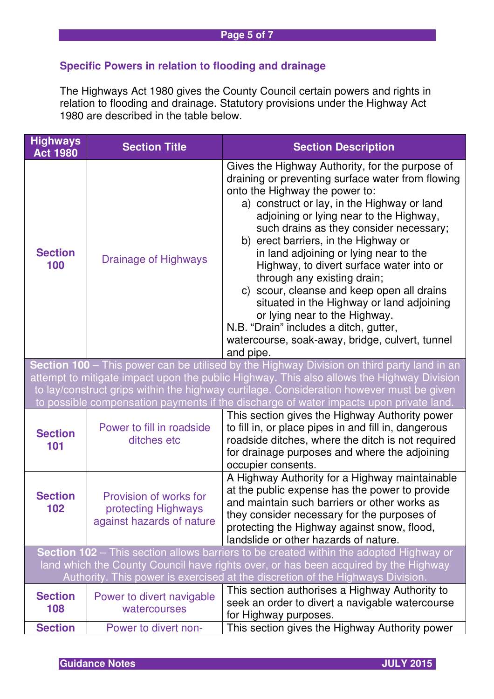## **Specific Powers in relation to flooding and drainage**

The Highways Act 1980 gives the County Council certain powers and rights in relation to flooding and drainage. Statutory provisions under the Highway Act 1980 are described in the table below.

| <b>Highways</b><br><b>Act 1980</b>                                                         | <b>Section Title</b>                                                       | <b>Section Description</b>                                                                                                                                                                                                                                                                                                                                                                                                                                                                                                                                                                                                                                                     |  |  |
|--------------------------------------------------------------------------------------------|----------------------------------------------------------------------------|--------------------------------------------------------------------------------------------------------------------------------------------------------------------------------------------------------------------------------------------------------------------------------------------------------------------------------------------------------------------------------------------------------------------------------------------------------------------------------------------------------------------------------------------------------------------------------------------------------------------------------------------------------------------------------|--|--|
| <b>Section</b><br>100                                                                      | <b>Drainage of Highways</b>                                                | Gives the Highway Authority, for the purpose of<br>draining or preventing surface water from flowing<br>onto the Highway the power to:<br>a) construct or lay, in the Highway or land<br>adjoining or lying near to the Highway,<br>such drains as they consider necessary;<br>b) erect barriers, in the Highway or<br>in land adjoining or lying near to the<br>Highway, to divert surface water into or<br>through any existing drain;<br>c) scour, cleanse and keep open all drains<br>situated in the Highway or land adjoining<br>or lying near to the Highway.<br>N.B. "Drain" includes a ditch, gutter,<br>watercourse, soak-away, bridge, culvert, tunnel<br>and pipe. |  |  |
| Section 100 – This power can be utilised by the Highway Division on third party land in an |                                                                            |                                                                                                                                                                                                                                                                                                                                                                                                                                                                                                                                                                                                                                                                                |  |  |
|                                                                                            |                                                                            | attempt to mitigate impact upon the public Highway. This also allows the Highway Division                                                                                                                                                                                                                                                                                                                                                                                                                                                                                                                                                                                      |  |  |
|                                                                                            |                                                                            | to lay/construct grips within the highway curtilage. Consideration however must be given<br>to possible compensation payments if the discharge of water impacts upon private land.                                                                                                                                                                                                                                                                                                                                                                                                                                                                                             |  |  |
| <b>Section</b><br>101                                                                      | Power to fill in roadside<br>ditches etc                                   | This section gives the Highway Authority power<br>to fill in, or place pipes in and fill in, dangerous<br>roadside ditches, where the ditch is not required<br>for drainage purposes and where the adjoining<br>occupier consents.                                                                                                                                                                                                                                                                                                                                                                                                                                             |  |  |
| <b>Section</b><br>102                                                                      | Provision of works for<br>protecting Highways<br>against hazards of nature | A Highway Authority for a Highway maintainable<br>at the public expense has the power to provide<br>and maintain such barriers or other works as<br>they consider necessary for the purposes of<br>protecting the Highway against snow, flood,<br>landslide or other hazards of nature.                                                                                                                                                                                                                                                                                                                                                                                        |  |  |
|                                                                                            |                                                                            | Section 102 - This section allows barriers to be created within the adopted Highway or<br>land which the County Council have rights over, or has been acquired by the Highway                                                                                                                                                                                                                                                                                                                                                                                                                                                                                                  |  |  |
|                                                                                            |                                                                            | Authority. This power is exercised at the discretion of the Highways Division.                                                                                                                                                                                                                                                                                                                                                                                                                                                                                                                                                                                                 |  |  |
| <b>Section</b>                                                                             | Power to divert navigable<br>watercourses                                  | This section authorises a Highway Authority to                                                                                                                                                                                                                                                                                                                                                                                                                                                                                                                                                                                                                                 |  |  |
| 108                                                                                        |                                                                            | seek an order to divert a navigable watercourse                                                                                                                                                                                                                                                                                                                                                                                                                                                                                                                                                                                                                                |  |  |
| <b>Section</b>                                                                             | Power to divert non-                                                       | for Highway purposes.<br>This section gives the Highway Authority power                                                                                                                                                                                                                                                                                                                                                                                                                                                                                                                                                                                                        |  |  |
|                                                                                            |                                                                            |                                                                                                                                                                                                                                                                                                                                                                                                                                                                                                                                                                                                                                                                                |  |  |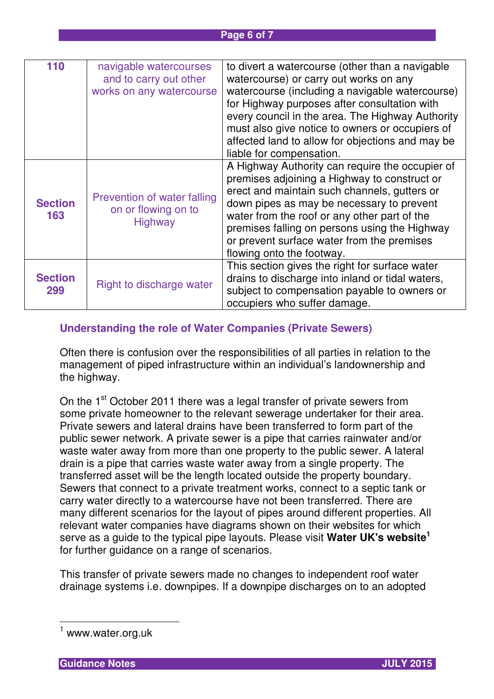| 110            | navigable watercourses      | to divert a watercourse (other than a navigable  |
|----------------|-----------------------------|--------------------------------------------------|
|                | and to carry out other      | watercourse) or carry out works on any           |
|                | works on any watercourse    | watercourse (including a navigable watercourse)  |
|                |                             | for Highway purposes after consultation with     |
|                |                             | every council in the area. The Highway Authority |
|                |                             | must also give notice to owners or occupiers of  |
|                |                             | affected land to allow for objections and may be |
|                |                             | liable for compensation.                         |
|                |                             | A Highway Authority can require the occupier of  |
|                |                             | premises adjoining a Highway to construct or     |
|                | Prevention of water falling | erect and maintain such channels, gutters or     |
| <b>Section</b> | on or flowing on to         | down pipes as may be necessary to prevent        |
| 163            | Highway                     | water from the roof or any other part of the     |
|                |                             | premises falling on persons using the Highway    |
|                |                             | or prevent surface water from the premises       |
|                |                             | flowing onto the footway.                        |
|                |                             | This section gives the right for surface water   |
| <b>Section</b> | Right to discharge water    | drains to discharge into inland or tidal waters, |
| 299            |                             | subject to compensation payable to owners or     |
|                |                             | occupiers who suffer damage.                     |

## **Understanding the role of Water Companies (Private Sewers)**

Often there is confusion over the responsibilities of all parties in relation to the management of piped infrastructure within an individual's landownership and the highway.

On the 1<sup>st</sup> October 2011 there was a legal transfer of private sewers from some private homeowner to the relevant sewerage undertaker for their area. Private sewers and lateral drains have been transferred to form part of the public sewer network. A private sewer is a pipe that carries rainwater and/or waste water away from more than one property to the public sewer. A lateral drain is a pipe that carries waste water away from a single property. The transferred asset will be the length located outside the property boundary. Sewers that connect to a private treatment works, connect to a septic tank or carry water directly to a watercourse have not been transferred. There are many different scenarios for the layout of pipes around different properties. All relevant water companies have diagrams shown on their websites for which serve as a guide to the typical pipe layouts. Please visit **Water UK's website<sup>1</sup>** for further guidance on a range of scenarios.

This transfer of private sewers made no changes to independent roof water drainage systems i.e. downpipes. If a downpipe discharges on to an adopted

 $\overline{\phantom{a}}$ 

<sup>&</sup>lt;sup>1</sup> www.water.org.uk